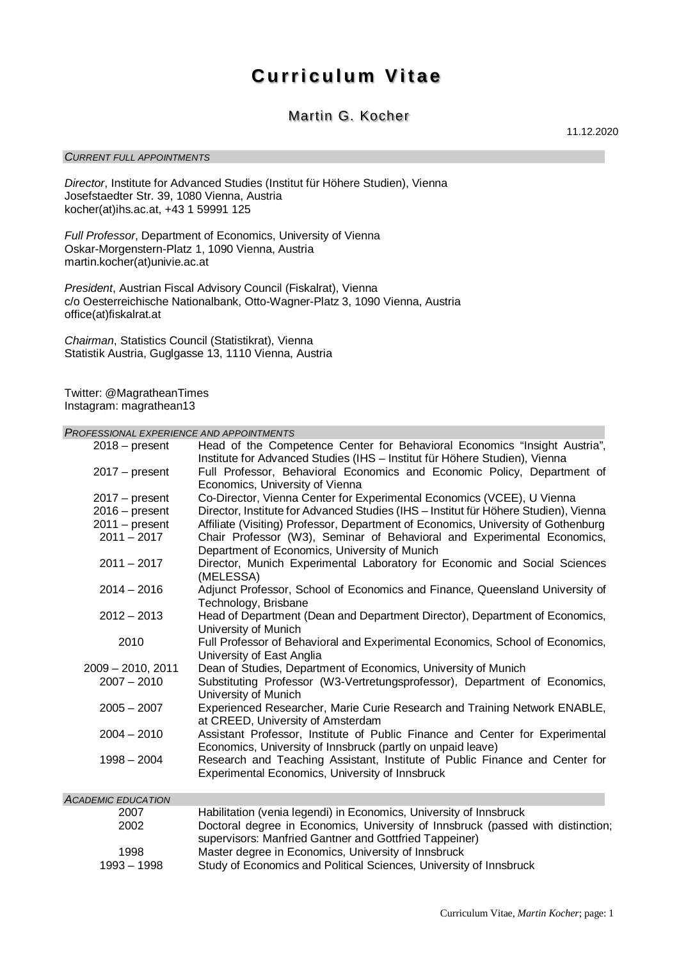# **Curriculum Vitae**

# Martin G. Kocher

*CURRENT FULL APPOINTMENTS*

11.12.2020

*Director*, Institute for Advanced Studies (Institut für Höhere Studien), Vienna Josefstaedter Str. 39, 1080 Vienna, Austria kocher(at)ihs.ac.at, +43 1 59991 125

*Full Professor*, Department of Economics, University of Vienna Oskar-Morgenstern-Platz 1, 1090 Vienna, Austria martin.kocher(at)univie.ac.at

*President*, Austrian Fiscal Advisory Council (Fiskalrat), Vienna c/o Oesterreichische Nationalbank, Otto-Wagner-Platz 3, 1090 Vienna, Austria office(at)fiskalrat.at

*Chairman*, Statistics Council (Statistikrat), Vienna Statistik Austria, Guglgasse 13, 1110 Vienna, Austria

Twitter: @MagratheanTimes Instagram: magrathean13

*PROFESSIONAL EXPERIENCE AND APPOINTMENTS*

| $2018 - present$                  | Head of the Competence Center for Behavioral Economics "Insight Austria",<br>Institute for Advanced Studies (IHS - Institut für Höhere Studien), Vienna |  |  |  |
|-----------------------------------|---------------------------------------------------------------------------------------------------------------------------------------------------------|--|--|--|
| $2017 - present$                  | Full Professor, Behavioral Economics and Economic Policy, Department of<br>Economics, University of Vienna                                              |  |  |  |
| $2017 - present$                  | Co-Director, Vienna Center for Experimental Economics (VCEE), U Vienna                                                                                  |  |  |  |
| $2016$ – present                  | Director, Institute for Advanced Studies (IHS - Institut für Höhere Studien), Vienna                                                                    |  |  |  |
|                                   | Affiliate (Visiting) Professor, Department of Economics, University of Gothenburg                                                                       |  |  |  |
| $2011 - present$<br>$2011 - 2017$ | Chair Professor (W3), Seminar of Behavioral and Experimental Economics,                                                                                 |  |  |  |
|                                   | Department of Economics, University of Munich                                                                                                           |  |  |  |
| $2011 - 2017$                     | Director, Munich Experimental Laboratory for Economic and Social Sciences                                                                               |  |  |  |
|                                   | (MELESSA)                                                                                                                                               |  |  |  |
| $2014 - 2016$                     | Adjunct Professor, School of Economics and Finance, Queensland University of                                                                            |  |  |  |
|                                   | Technology, Brisbane                                                                                                                                    |  |  |  |
| $2012 - 2013$                     | Head of Department (Dean and Department Director), Department of Economics,                                                                             |  |  |  |
|                                   | University of Munich                                                                                                                                    |  |  |  |
| 2010                              | Full Professor of Behavioral and Experimental Economics, School of Economics,<br>University of East Anglia                                              |  |  |  |
| $2009 - 2010$ , 2011              | Dean of Studies, Department of Economics, University of Munich                                                                                          |  |  |  |
| $2007 - 2010$                     | Substituting Professor (W3-Vertretungsprofessor), Department of Economics,<br>University of Munich                                                      |  |  |  |
| $2005 - 2007$                     | Experienced Researcher, Marie Curie Research and Training Network ENABLE,<br>at CREED, University of Amsterdam                                          |  |  |  |
| $2004 - 2010$                     | Assistant Professor, Institute of Public Finance and Center for Experimental<br>Economics, University of Innsbruck (partly on unpaid leave)             |  |  |  |
| $1998 - 2004$                     | Research and Teaching Assistant, Institute of Public Finance and Center for<br>Experimental Economics, University of Innsbruck                          |  |  |  |
| <b>ACADEMIC EDUCATION</b>         |                                                                                                                                                         |  |  |  |
| 2007                              | Habilitation (venia legendi) in Economics, University of Innsbruck                                                                                      |  |  |  |
| 2002                              | Doctoral degree in Economics, University of Innsbruck (passed with distinction,<br>supervisors: Manfried Gantner and Gottfried Tappeiner)               |  |  |  |
| 1998                              | Master degree in Economics, University of Innsbruck                                                                                                     |  |  |  |
| $1993 - 1998$                     | Study of Economics and Political Sciences, University of Innsbruck                                                                                      |  |  |  |
|                                   |                                                                                                                                                         |  |  |  |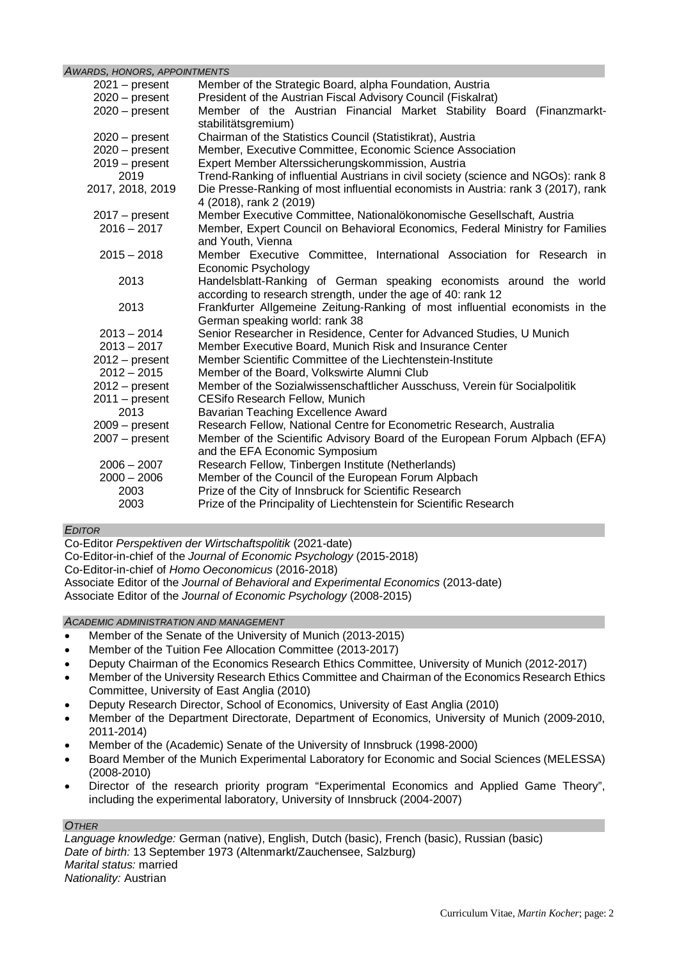## *AWARDS, HONORS, APPOINTMENTS*

| $2021 - present$ | Member of the Strategic Board, alpha Foundation, Austria                           |  |  |  |  |  |
|------------------|------------------------------------------------------------------------------------|--|--|--|--|--|
| $2020 - present$ | President of the Austrian Fiscal Advisory Council (Fiskalrat)                      |  |  |  |  |  |
| $2020 - present$ | Member of the Austrian Financial Market Stability Board (Finanzmarkt-              |  |  |  |  |  |
|                  | stabilitätsgremium)                                                                |  |  |  |  |  |
| $2020 - present$ | Chairman of the Statistics Council (Statistikrat), Austria                         |  |  |  |  |  |
| $2020 - present$ | Member, Executive Committee, Economic Science Association                          |  |  |  |  |  |
| $2019 - present$ | Expert Member Alterssicherungskommission, Austria                                  |  |  |  |  |  |
| 2019             | Trend-Ranking of influential Austrians in civil society (science and NGOs): rank 8 |  |  |  |  |  |
| 2017, 2018, 2019 | Die Presse-Ranking of most influential economists in Austria: rank 3 (2017), rank  |  |  |  |  |  |
|                  | 4 (2018), rank 2 (2019)                                                            |  |  |  |  |  |
| $2017 - present$ | Member Executive Committee, Nationalökonomische Gesellschaft, Austria              |  |  |  |  |  |
| $2016 - 2017$    | Member, Expert Council on Behavioral Economics, Federal Ministry for Families      |  |  |  |  |  |
|                  | and Youth, Vienna                                                                  |  |  |  |  |  |
| $2015 - 2018$    | Member Executive Committee, International Association for Research in              |  |  |  |  |  |
|                  | Economic Psychology                                                                |  |  |  |  |  |
| 2013             | Handelsblatt-Ranking of German speaking economists around the world                |  |  |  |  |  |
|                  | according to research strength, under the age of 40: rank 12                       |  |  |  |  |  |
| 2013             | Frankfurter Allgemeine Zeitung-Ranking of most influential economists in the       |  |  |  |  |  |
|                  | German speaking world: rank 38                                                     |  |  |  |  |  |
| $2013 - 2014$    | Senior Researcher in Residence, Center for Advanced Studies, U Munich              |  |  |  |  |  |
| $2013 - 2017$    | Member Executive Board, Munich Risk and Insurance Center                           |  |  |  |  |  |
| $2012 - present$ | Member Scientific Committee of the Liechtenstein-Institute                         |  |  |  |  |  |
| $2012 - 2015$    | Member of the Board, Volkswirte Alumni Club                                        |  |  |  |  |  |
| $2012 - present$ | Member of the Sozialwissenschaftlicher Ausschuss, Verein für Socialpolitik         |  |  |  |  |  |
| $2011 - present$ | <b>CESifo Research Fellow, Munich</b>                                              |  |  |  |  |  |
| 2013             | Bavarian Teaching Excellence Award                                                 |  |  |  |  |  |
| $2009 - present$ | Research Fellow, National Centre for Econometric Research, Australia               |  |  |  |  |  |
| $2007 - present$ | Member of the Scientific Advisory Board of the European Forum Alpbach (EFA)        |  |  |  |  |  |
|                  | and the EFA Economic Symposium                                                     |  |  |  |  |  |
| $2006 - 2007$    | Research Fellow, Tinbergen Institute (Netherlands)                                 |  |  |  |  |  |
| $2000 - 2006$    | Member of the Council of the European Forum Alpbach                                |  |  |  |  |  |
| 2003             | Prize of the City of Innsbruck for Scientific Research                             |  |  |  |  |  |
| 2003             | Prize of the Principality of Liechtenstein for Scientific Research                 |  |  |  |  |  |

# *EDITOR*

Co-Editor *Perspektiven der Wirtschaftspolitik* (2021-date)

Co-Editor-in-chief of the *Journal of Economic Psychology* (2015-2018)

Co-Editor-in-chief of *Homo Oeconomicus* (2016-2018)

Associate Editor of the *Journal of Behavioral and Experimental Economics* (2013-date)

Associate Editor of the *Journal of Economic Psychology* (2008-2015)

*ACADEMIC ADMINISTRATION AND MANAGEMENT*

- · Member of the Senate of the University of Munich (2013-2015)
- · Member of the Tuition Fee Allocation Committee (2013-2017)
- · Deputy Chairman of the Economics Research Ethics Committee, University of Munich (2012-2017)
- · Member of the University Research Ethics Committee and Chairman of the Economics Research Ethics Committee, University of East Anglia (2010)
- · Deputy Research Director, School of Economics, University of East Anglia (2010)
- · Member of the Department Directorate, Department of Economics, University of Munich (2009-2010, 2011-2014)
- Member of the (Academic) Senate of the University of Innsbruck (1998-2000)
- · Board Member of the Munich Experimental Laboratory for Economic and Social Sciences (MELESSA) (2008-2010)
- Director of the research priority program "Experimental Economics and Applied Game Theory", including the experimental laboratory, University of Innsbruck (2004-2007)

#### *OTHER*

*Language knowledge:* German (native), English, Dutch (basic), French (basic), Russian (basic) *Date of birth:* 13 September 1973 (Altenmarkt/Zauchensee, Salzburg) *Marital status:* married *Nationality:* Austrian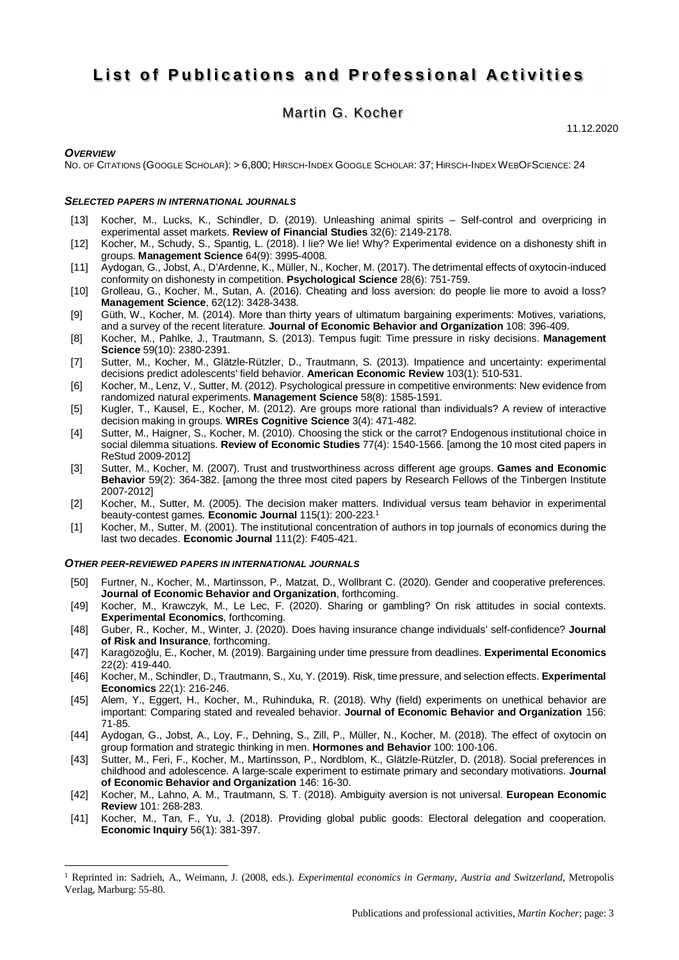# **List of Publications and Professional Activities**

# Martin G. Kocher

11.12.2020

#### *OVERVIEW*

NO. OF CITATIONS (GOOGLE SCHOLAR): > 6,800; HIRSCH-INDEX GOOGLE SCHOLAR: 37; HIRSCH-INDEX WEBOFSCIENCE: 24

#### *SELECTED PAPERS IN INTERNATIONAL JOURNALS*

- [13] Kocher, M., Lucks, K., Schindler, D. (2019). Unleashing animal spirits Self-control and overpricing in experimental asset markets. **Review of Financial Studies** 32(6): 2149-2178.
- [12] Kocher, M., Schudy, S., Spantig, L. (2018). I lie? We lie! Why? Experimental evidence on a dishonesty shift in groups. **Management Science** 64(9): 3995-4008.
- [11] Aydogan, G., Jobst, A., D'Ardenne, K., Müller, N., Kocher, M. (2017). The detrimental effects of oxytocin-induced conformity on dishonesty in competition. **Psychological Science** 28(6): 751-759.
- [10] Grolleau, G., Kocher, M., Sutan, A. (2016). Cheating and loss aversion: do people lie more to avoid a loss? **Management Science**, 62(12): 3428-3438.
- [9] Güth, W., Kocher, M. (2014). More than thirty years of ultimatum bargaining experiments: Motives, variations, and a survey of the recent literature. **Journal of Economic Behavior and Organization** 108: 396-409.
- [8] Kocher, M., Pahlke, J., Trautmann, S. (2013). Tempus fugit: Time pressure in risky decisions. **Management Science** 59(10): 2380-2391.
- [7] Sutter, M., Kocher, M., Glätzle-Rützler, D., Trautmann, S. (2013). Impatience and uncertainty: experimental decisions predict adolescents' field behavior. **American Economic Review** 103(1): 510-531.
- [6] Kocher, M., Lenz, V., Sutter, M. (2012). Psychological pressure in competitive environments: New evidence from randomized natural experiments. **Management Science** 58(8): 1585-1591.
- [5] Kugler, T., Kausel, E., Kocher, M. (2012). Are groups more rational than individuals? A review of interactive decision making in groups. **WIREs Cognitive Science** 3(4): 471-482.
- [4] Sutter, M., Haigner, S., Kocher, M. (2010). Choosing the stick or the carrot? Endogenous institutional choice in social dilemma situations. **Review of Economic Studies** 77(4): 1540-1566. [among the 10 most cited papers in ReStud 2009-2012]
- [3] Sutter, M., Kocher, M. (2007). Trust and trustworthiness across different age groups. **Games and Economic Behavior** 59(2): 364-382. [among the three most cited papers by Research Fellows of the Tinbergen Institute 2007-2012]
- [2] Kocher, M., Sutter, M. (2005). The decision maker matters. Individual versus team behavior in experimental beauty-contest games. **Economic Journal** 115(1): 200-223.<sup>1</sup>
- [1] Kocher, M., Sutter, M. (2001). The institutional concentration of authors in top journals of economics during the last two decades. **Economic Journal** 111(2): F405-421.

#### *OTHER PEER-REVIEWED PAPERS IN INTERNATIONAL JOURNALS*

- [50] Furtner, N., Kocher, M., Martinsson, P., Matzat, D., Wollbrant C. (2020). Gender and cooperative preferences. **Journal of Economic Behavior and Organization**, forthcoming.
- [49] Kocher, M., Krawczyk, M., Le Lec, F. (2020). Sharing or gambling? On risk attitudes in social contexts. **Experimental Economics**, forthcoming.
- [48] Guber, R., Kocher, M., Winter, J. (2020). Does having insurance change individuals' self-confidence? **Journal of Risk and Insurance**, forthcoming.
- [47] Karagözoğlu, E., Kocher, M. (2019). Bargaining under time pressure from deadlines. **Experimental Economics** 22(2): 419-440.
- [46] Kocher, M., Schindler, D., Trautmann, S., Xu, Y. (2019). Risk, time pressure, and selection effects. **Experimental Economics** 22(1): 216-246.
- [45] Alem, Y., Eggert, H., Kocher, M., Ruhinduka, R. (2018). Why (field) experiments on unethical behavior are important: Comparing stated and revealed behavior. **Journal of Economic Behavior and Organization** 156: 71-85.
- [44] Aydogan, G., Jobst, A., Loy, F., Dehning, S., Zill, P., Müller, N., Kocher, M. (2018). The effect of oxytocin on group formation and strategic thinking in men. **Hormones and Behavior** 100: 100-106.
- [43] Sutter, M., Feri, F., Kocher, M., Martinsson, P., Nordblom, K., Glätzle-Rützler, D. (2018). Social preferences in childhood and adolescence. A large-scale experiment to estimate primary and secondary motivations. **Journal of Economic Behavior and Organization** 146: 16-30.
- [42] Kocher, M., Lahno, A. M., Trautmann, S. T. (2018). Ambiguity aversion is not universal. **European Economic Review** 101: 268-283.
- [41] Kocher, M., Tan, F., Yu, J. (2018). Providing global public goods: Electoral delegation and cooperation. **Economic Inquiry** 56(1): 381-397.

<sup>1</sup> Reprinted in: Sadrieh, A., Weimann, J. (2008, eds.). *Experimental economics in Germany, Austria and Switzerland*, Metropolis Verlag, Marburg: 55-80.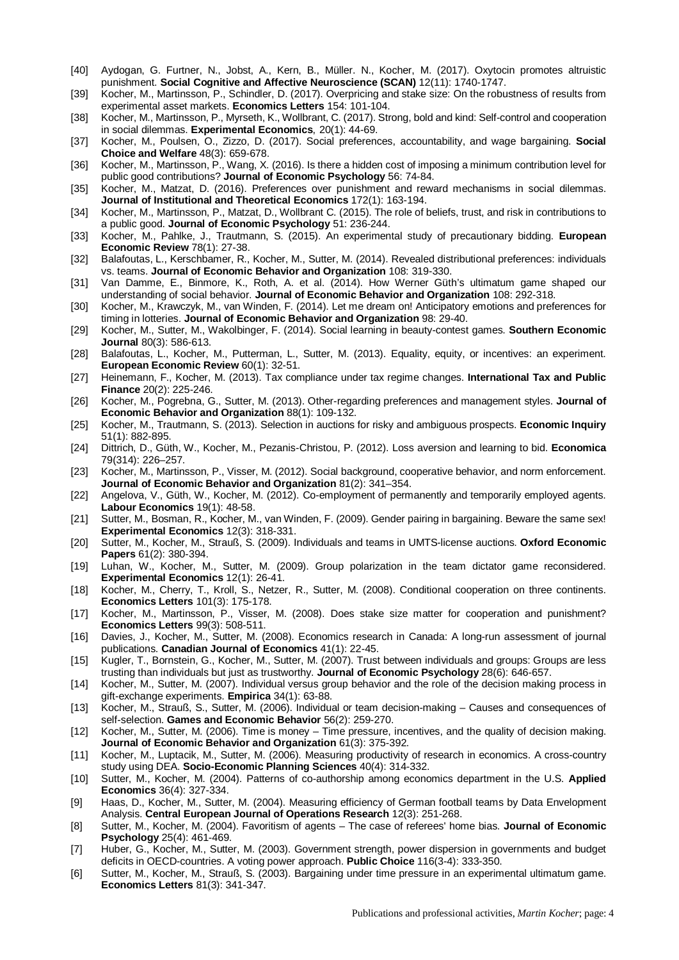- [40] Aydogan, G. Furtner, N., Jobst, A., Kern, B., Müller. N., Kocher, M. (2017). Oxytocin promotes altruistic punishment. **Social Cognitive and Affective Neuroscience (SCAN)** 12(11): 1740-1747.
- [39] Kocher, M., Martinsson, P., Schindler, D. (2017). Overpricing and stake size: On the robustness of results from experimental asset markets. **Economics Letters** 154: 101-104.
- [38] Kocher, M., Martinsson, P., Myrseth, K., Wollbrant, C. (2017). Strong, bold and kind: Self-control and cooperation in social dilemmas. **Experimental Economics**, 20(1): 44-69.
- [37] Kocher, M., Poulsen, O., Zizzo, D. (2017). Social preferences, accountability, and wage bargaining. **Social Choice and Welfare** 48(3): 659-678.
- [36] Kocher, M., Martinsson, P., Wang, X. (2016). Is there a hidden cost of imposing a minimum contribution level for public good contributions? **Journal of Economic Psychology** 56: 74-84.
- [35] Kocher, M., Matzat, D. (2016). Preferences over punishment and reward mechanisms in social dilemmas. **Journal of Institutional and Theoretical Economics** 172(1): 163-194.
- [34] Kocher, M., Martinsson, P., Matzat, D., Wollbrant C. (2015). The role of beliefs, trust, and risk in contributions to a public good. **Journal of Economic Psychology** 51: 236-244.
- [33] Kocher, M., Pahlke, J., Trautmann, S. (2015). An experimental study of precautionary bidding. **European Economic Review** 78(1): 27-38.
- [32] Balafoutas, L., Kerschbamer, R., Kocher, M., Sutter, M. (2014). Revealed distributional preferences: individuals vs. teams. **Journal of Economic Behavior and Organization** 108: 319-330.
- [31] Van Damme, E., Binmore, K., Roth, A. et al. (2014). How Werner Güth's ultimatum game shaped our understanding of social behavior. **Journal of Economic Behavior and Organization** 108: 292-318.
- [30] Kocher, M., Krawczyk, M., van Winden, F. (2014). Let me dream on! Anticipatory emotions and preferences for timing in lotteries. **Journal of Economic Behavior and Organization** 98: 29-40.
- [29] Kocher, M., Sutter, M., Wakolbinger, F. (2014). Social learning in beauty-contest games. **Southern Economic Journal** 80(3): 586-613.
- [28] Balafoutas, L., Kocher, M., Putterman, L., Sutter, M. (2013). Equality, equity, or incentives: an experiment. **European Economic Review** 60(1): 32-51.
- [27] Heinemann, F., Kocher, M. (2013). Tax compliance under tax regime changes. **International Tax and Public Finance** 20(2): 225-246.
- [26] Kocher, M., Pogrebna, G., Sutter, M. (2013). Other-regarding preferences and management styles. **Journal of Economic Behavior and Organization** 88(1): 109-132.
- [25] Kocher, M., Trautmann, S. (2013). Selection in auctions for risky and ambiguous prospects. **Economic Inquiry** 51(1): 882-895.
- [24] Dittrich, D., Güth, W., Kocher, M., Pezanis-Christou, P. (2012). Loss aversion and learning to bid. **Economica** 79(314): 226–257.
- [23] Kocher, M., Martinsson, P., Visser, M. (2012). Social background, cooperative behavior, and norm enforcement. **Journal of Economic Behavior and Organization** 81(2): 341–354.
- [22] Angelova, V., Güth, W., Kocher, M. (2012). Co-employment of permanently and temporarily employed agents. **Labour Economics** 19(1): 48-58.
- [21] Sutter, M., Bosman, R., Kocher, M., van Winden, F. (2009). Gender pairing in bargaining. Beware the same sex! **Experimental Economics** 12(3): 318-331.
- [20] Sutter, M., Kocher, M., Strauß, S. (2009). Individuals and teams in UMTS-license auctions. **Oxford Economic Papers** 61(2): 380-394.
- [19] Luhan, W., Kocher, M., Sutter, M. (2009). Group polarization in the team dictator game reconsidered. **Experimental Economics** 12(1): 26-41.
- [18] Kocher, M., Cherry, T., Kroll, S., Netzer, R., Sutter, M. (2008). Conditional cooperation on three continents. **Economics Letters** 101(3): 175-178.
- [17] Kocher, M., Martinsson, P., Visser, M. (2008). Does stake size matter for cooperation and punishment? **Economics Letters** 99(3): 508-511.
- [16] Davies, J., Kocher, M., Sutter, M. (2008). Economics research in Canada: A long-run assessment of journal publications. **Canadian Journal of Economics** 41(1): 22-45.
- [15] Kugler, T., Bornstein, G., Kocher, M., Sutter, M. (2007). Trust between individuals and groups: Groups are less trusting than individuals but just as trustworthy. **Journal of Economic Psychology** 28(6): 646-657.
- [14] Kocher, M., Sutter, M. (2007). Individual versus group behavior and the role of the decision making process in gift-exchange experiments. **Empirica** 34(1): 63-88.
- [13] Kocher, M., Strauß, S., Sutter, M. (2006). Individual or team decision-making Causes and consequences of self-selection. **Games and Economic Behavior** 56(2): 259-270.
- [12] Kocher, M., Sutter, M. (2006). Time is money Time pressure, incentives, and the quality of decision making. **Journal of Economic Behavior and Organization** 61(3): 375-392.
- [11] Kocher, M., Luptacik, M., Sutter, M. (2006). Measuring productivity of research in economics. A cross-country study using DEA. **Socio-Economic Planning Sciences** 40(4): 314-332.
- [10] Sutter, M., Kocher, M. (2004). Patterns of co-authorship among economics department in the U.S. **Applied Economics** 36(4): 327-334.
- [9] Haas, D., Kocher, M., Sutter, M. (2004). Measuring efficiency of German football teams by Data Envelopment Analysis. **Central European Journal of Operations Research** 12(3): 251-268.
- [8] Sutter, M., Kocher, M. (2004). Favoritism of agents The case of referees' home bias. **Journal of Economic Psychology** 25(4): 461-469.
- [7] Huber, G., Kocher, M., Sutter, M. (2003). Government strength, power dispersion in governments and budget deficits in OECD-countries. A voting power approach. **Public Choice** 116(3-4): 333-350.
- [6] Sutter, M., Kocher, M., Strauß, S. (2003). Bargaining under time pressure in an experimental ultimatum game. **Economics Letters** 81(3): 341-347.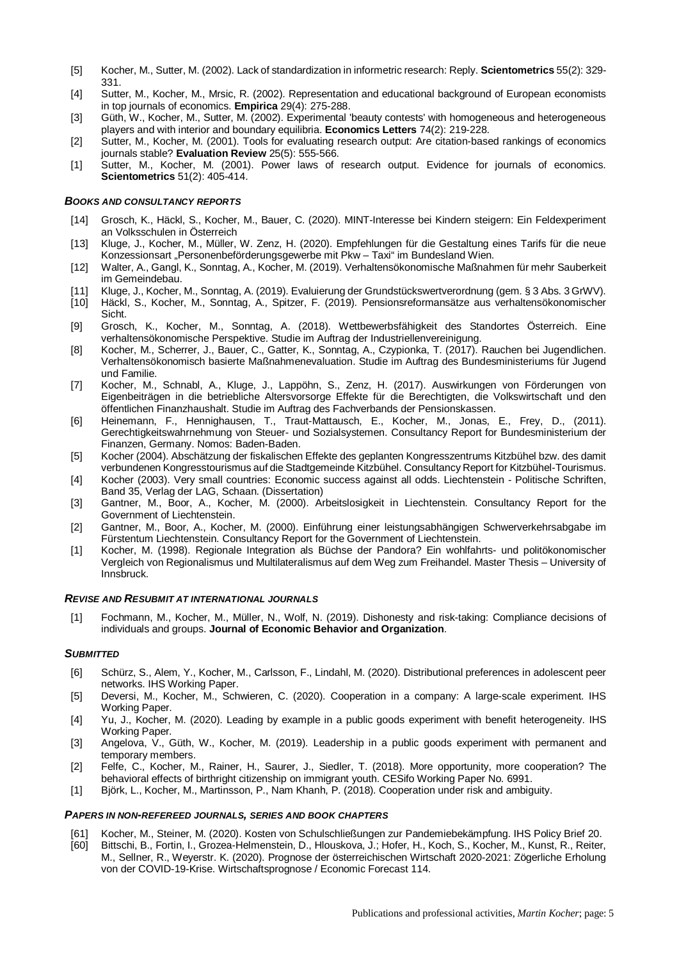- [5] Kocher, M., Sutter, M. (2002). Lack of standardization in informetric research: Reply. **Scientometrics** 55(2): 329- 331.
- [4] Sutter, M., Kocher, M., Mrsic, R. (2002). Representation and educational background of European economists in top journals of economics. **Empirica** 29(4): 275-288.
- [3] Güth, W., Kocher, M., Sutter, M. (2002). Experimental 'beauty contests' with homogeneous and heterogeneous players and with interior and boundary equilibria. **Economics Letters** 74(2): 219-228.
- [2] Sutter, M., Kocher, M. (2001). Tools for evaluating research output: Are citation-based rankings of economics journals stable? **Evaluation Review** 25(5): 555-566.
- [1] Sutter, M., Kocher, M. (2001). Power laws of research output. Evidence for journals of economics. **Scientometrics** 51(2): 405-414.

#### *BOOKS AND CONSULTANCY REPORTS*

- [14] Grosch, K., Häckl, S., Kocher, M., Bauer, C. (2020). MINT-Interesse bei Kindern steigern: Ein Feldexperiment an Volksschulen in Österreich
- [13] Kluge, J., Kocher, M., Müller, W. Zenz, H. (2020). Empfehlungen für die Gestaltung eines Tarifs für die neue Konzessionsart "Personenbeförderungsgewerbe mit Pkw - Taxi" im Bundesland Wien.
- [12] Walter, A., Gangl, K., Sonntag, A., Kocher, M. (2019). Verhaltensökonomische Maßnahmen für mehr Sauberkeit im Gemeindebau.
- [11] Kluge, J., Kocher, M., Sonntag, A. (2019). Evaluierung der Grundstückswertverordnung (gem. § 3 Abs. 3 GrWV).
- [10] Häckl, S., Kocher, M., Sonntag, A., Spitzer, F. (2019). Pensionsreformansätze aus verhaltensökonomischer Sicht.
- [9] Grosch, K., Kocher, M., Sonntag, A. (2018). Wettbewerbsfähigkeit des Standortes Österreich. Eine verhaltensökonomische Perspektive. Studie im Auftrag der Industriellenvereinigung.
- [8] Kocher, M., Scherrer, J., Bauer, C., Gatter, K., Sonntag, A., Czypionka, T. (2017). Rauchen bei Jugendlichen. Verhaltensökonomisch basierte Maßnahmenevaluation. Studie im Auftrag des Bundesministeriums für Jugend und Familie.
- [7] Kocher, M., Schnabl, A., Kluge, J., Lappöhn, S., Zenz, H. (2017). Auswirkungen von Förderungen von Eigenbeiträgen in die betriebliche Altersvorsorge Effekte für die Berechtigten, die Volkswirtschaft und den öffentlichen Finanzhaushalt. Studie im Auftrag des Fachverbands der Pensionskassen.
- [6] Heinemann, F., Hennighausen, T., Traut-Mattausch, E., Kocher, M., Jonas, E., Frey, D., (2011). Gerechtigkeitswahrnehmung von Steuer- und Sozialsystemen. Consultancy Report for Bundesministerium der Finanzen, Germany. Nomos: Baden-Baden.
- [5] Kocher (2004). Abschätzung der fiskalischen Effekte des geplanten Kongresszentrums Kitzbühel bzw. des damit verbundenen Kongresstourismus auf die Stadtgemeinde Kitzbühel. Consultancy Report for Kitzbühel-Tourismus.
- [4] Kocher (2003). Very small countries: Economic success against all odds. Liechtenstein Politische Schriften, Band 35, Verlag der LAG, Schaan. (Dissertation)
- [3] Gantner, M., Boor, A., Kocher, M. (2000). Arbeitslosigkeit in Liechtenstein. Consultancy Report for the Government of Liechtenstein.
- [2] Gantner, M., Boor, A., Kocher, M. (2000). Einführung einer leistungsabhängigen Schwerverkehrsabgabe im Fürstentum Liechtenstein. Consultancy Report for the Government of Liechtenstein.
- [1] Kocher, M. (1998). Regionale Integration als Büchse der Pandora? Ein wohlfahrts- und politökonomischer Vergleich von Regionalismus und Multilateralismus auf dem Weg zum Freihandel. Master Thesis – University of Innsbruck.

#### *REVISE AND RESUBMIT AT INTERNATIONAL JOURNALS*

[1] Fochmann, M., Kocher, M., Müller, N., Wolf, N. (2019). Dishonesty and risk-taking: Compliance decisions of individuals and groups. **Journal of Economic Behavior and Organization**.

#### *SUBMITTED*

- [6] Schürz, S., Alem, Y., Kocher, M., Carlsson, F., Lindahl, M. (2020). Distributional preferences in adolescent peer networks. IHS Working Paper.
- [5] Deversi, M., Kocher, M., Schwieren, C. (2020). Cooperation in a company: A large-scale experiment. IHS Working Paper.
- [4] Yu, J., Kocher, M. (2020). Leading by example in a public goods experiment with benefit heterogeneity. IHS Working Paper.
- [3] Angelova, V., Güth, W., Kocher, M. (2019). Leadership in a public goods experiment with permanent and temporary members.
- [2] Felfe, C., Kocher, M., Rainer, H., Saurer, J., Siedler, T. (2018). More opportunity, more cooperation? The behavioral effects of birthright citizenship on immigrant youth. CESifo Working Paper No. 6991.
- [1] Björk, L., Kocher, M., Martinsson, P., Nam Khanh, P. (2018). Cooperation under risk and ambiguity.

#### *PAPERS IN NON-REFEREED JOURNALS, SERIES AND BOOK CHAPTERS*

- [61] Kocher, M., Steiner, M. (2020). Kosten von Schulschließungen zur Pandemiebekämpfung. IHS Policy Brief 20. [60] Bittschi, B., Fortin, I., Grozea-Helmenstein, D., Hlouskova, J.; Hofer, H., Koch, S., Kocher, M., Kunst, R., Reiter,
	- M., Sellner, R., Weyerstr. K. (2020). Prognose der österreichischen Wirtschaft 2020-2021: Zögerliche Erholung von der COVID-19-Krise. Wirtschaftsprognose / Economic Forecast 114.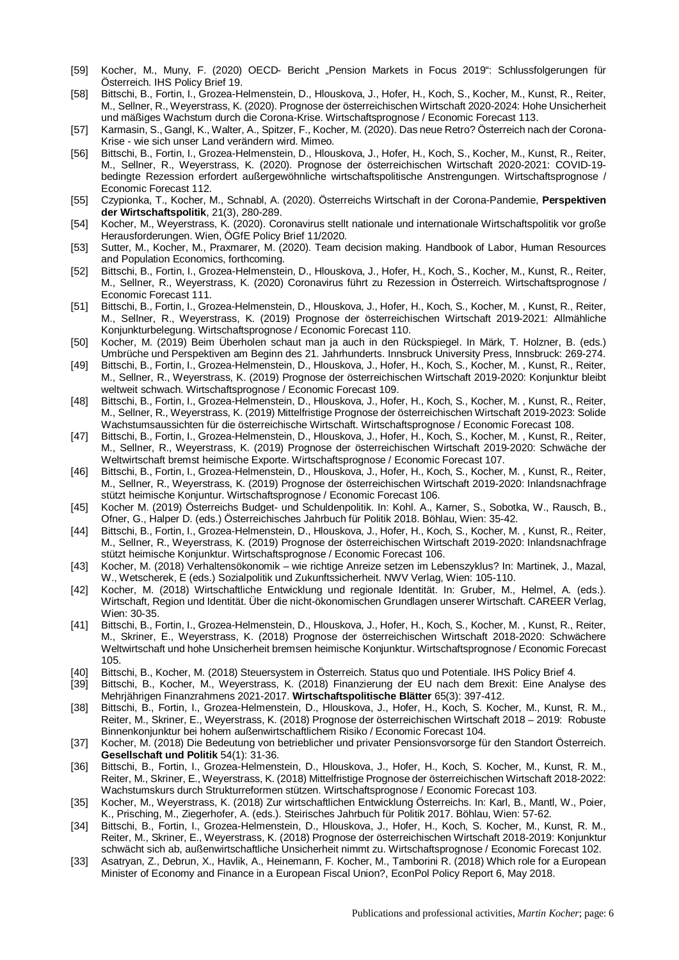- [59] Kocher, M., Muny, F. (2020) OECD- Bericht "Pension Markets in Focus 2019": Schlussfolgerungen für Österreich. IHS Policy Brief 19.
- [58] Bittschi, B., Fortin, I., Grozea-Helmenstein, D., Hlouskova, J., Hofer, H., Koch, S., Kocher, M., Kunst, R., Reiter, M., Sellner, R., Weyerstrass, K. (2020). Prognose der österreichischen Wirtschaft 2020-2024: Hohe Unsicherheit und mäßiges Wachstum durch die Corona-Krise. Wirtschaftsprognose / Economic Forecast 113.
- [57] Karmasin, S., Gangl, K., Walter, A., Spitzer, F., Kocher, M. (2020). Das neue Retro? Österreich nach der Corona-Krise - wie sich unser Land verändern wird. Mimeo.
- [56] Bittschi, B., Fortin, I., Grozea-Helmenstein, D., Hlouskova, J., Hofer, H., Koch, S., Kocher, M., Kunst, R., Reiter, M., Sellner, R., Weyerstrass, K. (2020). Prognose der österreichischen Wirtschaft 2020-2021: COVID-19 bedingte Rezession erfordert außergewöhnliche wirtschaftspolitische Anstrengungen. Wirtschaftsprognose / Economic Forecast 112.
- [55] Czypionka, T., Kocher, M., Schnabl, A. (2020). Österreichs Wirtschaft in der Corona-Pandemie, **Perspektiven der Wirtschaftspolitik**, 21(3), 280-289.
- [54] Kocher, M., Weyerstrass, K. (2020). Coronavirus stellt nationale und internationale Wirtschaftspolitik vor große Herausforderungen. Wien, ÖGfE Policy Brief 11/2020.
- [53] Sutter, M., Kocher, M., Praxmarer, M. (2020). Team decision making. Handbook of Labor, Human Resources and Population Economics, forthcoming.
- [52] Bittschi, B., Fortin, I., Grozea-Helmenstein, D., Hlouskova, J., Hofer, H., Koch, S., Kocher, M., Kunst, R., Reiter, M., Sellner, R., Weyerstrass, K. (2020) Coronavirus führt zu Rezession in Österreich. Wirtschaftsprognose / Economic Forecast 111.
- [51] Bittschi, B., Fortin, I., Grozea-Helmenstein, D., Hlouskova, J., Hofer, H., Koch, S., Kocher, M. , Kunst, R., Reiter, M., Sellner, R., Weyerstrass, K. (2019) Prognose der österreichischen Wirtschaft 2019-2021: Allmähliche Konjunkturbelegung. Wirtschaftsprognose / Economic Forecast 110.
- [50] Kocher, M. (2019) Beim Überholen schaut man ja auch in den Rückspiegel. In Märk, T. Holzner, B. (eds.) Umbrüche und Perspektiven am Beginn des 21. Jahrhunderts. Innsbruck University Press, Innsbruck: 269-274.
- [49] Bittschi, B., Fortin, I., Grozea-Helmenstein, D., Hlouskova, J., Hofer, H., Koch, S., Kocher, M. , Kunst, R., Reiter, M., Sellner, R., Weyerstrass, K. (2019) Prognose der österreichischen Wirtschaft 2019-2020: Konjunktur bleibt weltweit schwach. Wirtschaftsprognose / Economic Forecast 109.
- [48] Bittschi, B., Fortin, I., Grozea-Helmenstein, D., Hlouskova, J., Hofer, H., Koch, S., Kocher, M. , Kunst, R., Reiter, M., Sellner, R., Weyerstrass, K. (2019) Mittelfristige Prognose der österreichischen Wirtschaft 2019-2023: Solide Wachstumsaussichten für die österreichische Wirtschaft. Wirtschaftsprognose / Economic Forecast 108.
- [47] Bittschi, B., Fortin, I., Grozea-Helmenstein, D., Hlouskova, J., Hofer, H., Koch, S., Kocher, M. , Kunst, R., Reiter, M., Sellner, R., Weyerstrass, K. (2019) Prognose der österreichischen Wirtschaft 2019-2020: Schwäche der Weltwirtschaft bremst heimische Exporte. Wirtschaftsprognose / Economic Forecast 107.
- [46] Bittschi, B., Fortin, I., Grozea-Helmenstein, D., Hlouskova, J., Hofer, H., Koch, S., Kocher, M. , Kunst, R., Reiter, M., Sellner, R., Weyerstrass, K. (2019) Prognose der österreichischen Wirtschaft 2019-2020: Inlandsnachfrage stützt heimische Konjuntur. Wirtschaftsprognose / Economic Forecast 106.
- [45] Kocher M. (2019) Österreichs Budget- und Schuldenpolitik. In: Kohl. A., Karner, S., Sobotka, W., Rausch, B., Ofner, G., Halper D. (eds.) Österreichisches Jahrbuch für Politik 2018. Böhlau, Wien: 35-42.
- [44] Bittschi, B., Fortin, I., Grozea-Helmenstein, D., Hlouskova, J., Hofer, H., Koch, S., Kocher, M. , Kunst, R., Reiter, M., Sellner, R., Weyerstrass, K. (2019) Prognose der österreichischen Wirtschaft 2019-2020: Inlandsnachfrage stützt heimische Konjunktur. Wirtschaftsprognose / Economic Forecast 106.
- [43] Kocher, M. (2018) Verhaltensökonomik wie richtige Anreize setzen im Lebenszyklus? In: Martinek, J., Mazal, W., Wetscherek, E (eds.) Sozialpolitik und Zukunftssicherheit. NWV Verlag, Wien: 105-110.
- [42] Kocher, M. (2018) Wirtschaftliche Entwicklung und regionale Identität. In: Gruber, M., Helmel, A. (eds.). Wirtschaft, Region und Identität. Über die nicht-ökonomischen Grundlagen unserer Wirtschaft. CAREER Verlag, Wien: 30-35.
- [41] Bittschi, B., Fortin, I., Grozea-Helmenstein, D., Hlouskova, J., Hofer, H., Koch, S., Kocher, M. , Kunst, R., Reiter, M., Skriner, E., Weyerstrass, K. (2018) Prognose der österreichischen Wirtschaft 2018-2020: Schwächere Weltwirtschaft und hohe Unsicherheit bremsen heimische Konjunktur. Wirtschaftsprognose / Economic Forecast 105.
- [40] Bittschi, B., Kocher, M. (2018) Steuersystem in Österreich. Status quo und Potentiale. IHS Policy Brief 4.
- [39] Bittschi, B., Kocher, M., Weyerstrass, K. (2018) Finanzierung der EU nach dem Brexit: Eine Analyse des Mehrjährigen Finanzrahmens 2021-2017. **Wirtschaftspolitische Blätter** 65(3): 397-412.
- [38] Bittschi, B., Fortin, I., Grozea-Helmenstein, D., Hlouskova, J., Hofer, H., Koch, S. Kocher, M., Kunst, R. M., Reiter, M., Skriner, E., Weyerstrass, K. (2018) Prognose der österreichischen Wirtschaft 2018 – 2019: Robuste Binnenkonjunktur bei hohem außenwirtschaftlichem Risiko / Economic Forecast 104.
- [37] Kocher, M. (2018) Die Bedeutung von betrieblicher und privater Pensionsvorsorge für den Standort Österreich. **Gesellschaft und Politik** 54(1): 31-36.
- [36] Bittschi, B., Fortin, I., Grozea-Helmenstein, D., Hlouskova, J., Hofer, H., Koch, S. Kocher, M., Kunst, R. M., Reiter, M., Skriner, E., Weyerstrass, K. (2018) Mittelfristige Prognose der österreichischen Wirtschaft 2018-2022: Wachstumskurs durch Strukturreformen stützen. Wirtschaftsprognose / Economic Forecast 103.
- [35] Kocher, M., Weyerstrass, K. (2018) Zur wirtschaftlichen Entwicklung Österreichs. In: Karl, B., Mantl, W., Poier, K., Prisching, M., Ziegerhofer, A. (eds.). Steirisches Jahrbuch für Politik 2017. Böhlau, Wien: 57-62.
- [34] Bittschi, B., Fortin, I., Grozea-Helmenstein, D., Hlouskova, J., Hofer, H., Koch, S. Kocher, M., Kunst, R. M., Reiter, M., Skriner, E., Weyerstrass, K. (2018) Prognose der österreichischen Wirtschaft 2018-2019: Konjunktur schwächt sich ab, außenwirtschaftliche Unsicherheit nimmt zu. Wirtschaftsprognose / Economic Forecast 102.
- [33] Asatryan, Z., Debrun, X., Havlik, A., Heinemann, F. Kocher, M., Tamborini R. (2018) Which role for a European Minister of Economy and Finance in a European Fiscal Union?, EconPol Policy Report 6, May 2018.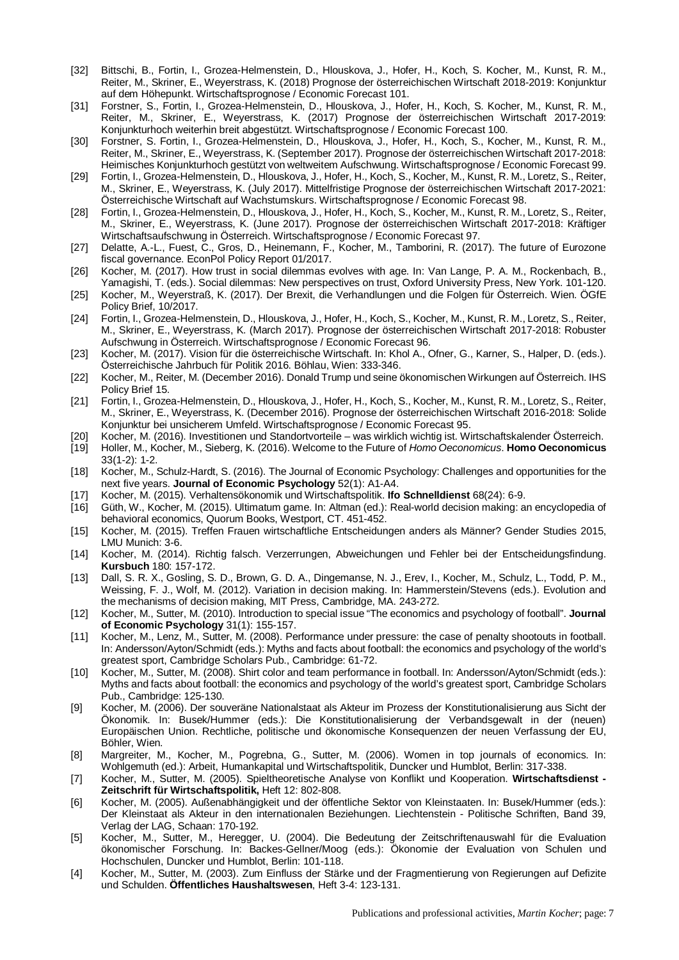- [32] Bittschi, B., Fortin, I., Grozea-Helmenstein, D., Hlouskova, J., Hofer, H., Koch, S. Kocher, M., Kunst, R. M., Reiter, M., Skriner, E., Weyerstrass, K. (2018) Prognose der österreichischen Wirtschaft 2018-2019: Konjunktur auf dem Höhepunkt. Wirtschaftsprognose / Economic Forecast 101.
- [31] Forstner, S., Fortin, I., Grozea-Helmenstein, D., Hlouskova, J., Hofer, H., Koch, S. Kocher, M., Kunst, R. M., Reiter, M., Skriner, E., Weyerstrass, K. (2017) Prognose der österreichischen Wirtschaft 2017-2019: Konjunkturhoch weiterhin breit abgestützt. Wirtschaftsprognose / Economic Forecast 100.
- [30] Forstner, S. Fortin, I., Grozea-Helmenstein, D., Hlouskova, J., Hofer, H., Koch, S., Kocher, M., Kunst, R. M., Reiter, M., Skriner, E., Weyerstrass, K. (September 2017). Prognose der österreichischen Wirtschaft 2017-2018: Heimisches Konjunkturhoch gestützt von weltweitem Aufschwung. Wirtschaftsprognose / Economic Forecast 99.
- [29] Fortin, I., Grozea-Helmenstein, D., Hlouskova, J., Hofer, H., Koch, S., Kocher, M., Kunst, R. M., Loretz, S., Reiter, M., Skriner, E., Weyerstrass, K. (July 2017). Mittelfristige Prognose der österreichischen Wirtschaft 2017-2021: Österreichische Wirtschaft auf Wachstumskurs. Wirtschaftsprognose / Economic Forecast 98.
- [28] Fortin, I., Grozea-Helmenstein, D., Hlouskova, J., Hofer, H., Koch, S., Kocher, M., Kunst, R. M., Loretz, S., Reiter, M., Skriner, E., Weyerstrass, K. (June 2017). Prognose der österreichischen Wirtschaft 2017-2018: Kräftiger Wirtschaftsaufschwung in Österreich. Wirtschaftsprognose / Economic Forecast 97.
- [27] Delatte, A.-L., Fuest, C., Gros, D., Heinemann, F., Kocher, M., Tamborini, R. (2017). The future of Eurozone fiscal governance. EconPol Policy Report 01/2017.
- [26] Kocher, M. (2017). How trust in social dilemmas evolves with age. In: Van Lange, P. A. M., Rockenbach, B., Yamagishi, T. (eds.). Social dilemmas: New perspectives on trust, Oxford University Press, New York. 101-120.
- [25] Kocher, M., Weyerstraß, K. (2017). Der Brexit, die Verhandlungen und die Folgen für Österreich. Wien. ÖGfE Policy Brief, 10/2017.
- [24] Fortin, I., Grozea-Helmenstein, D., Hlouskova, J., Hofer, H., Koch, S., Kocher, M., Kunst, R. M., Loretz, S., Reiter, M., Skriner, E., Weyerstrass, K. (March 2017). Prognose der österreichischen Wirtschaft 2017-2018: Robuster Aufschwung in Österreich. Wirtschaftsprognose / Economic Forecast 96.
- [23] Kocher, M. (2017). Vision für die österreichische Wirtschaft. In: Khol A., Ofner, G., Karner, S., Halper, D. (eds.). Österreichische Jahrbuch für Politik 2016. Böhlau, Wien: 333-346.
- [22] Kocher, M., Reiter, M. (December 2016). Donald Trump und seine ökonomischen Wirkungen auf Österreich. IHS Policy Brief 15.
- [21] Fortin, I., Grozea-Helmenstein, D., Hlouskova, J., Hofer, H., Koch, S., Kocher, M., Kunst, R. M., Loretz, S., Reiter, M., Skriner, E., Weyerstrass, K. (December 2016). Prognose der österreichischen Wirtschaft 2016-2018: Solide Konjunktur bei unsicherem Umfeld. Wirtschaftsprognose / Economic Forecast 95.
- [20] Kocher, M. (2016). Investitionen und Standortvorteile was wirklich wichtig ist. Wirtschaftskalender Österreich.
- [19] Holler, M., Kocher, M., Sieberg, K. (2016). Welcome to the Future of *Homo Oeconomicus*. **Homo Oeconomicus** 33(1-2): 1-2.
- [18] Kocher, M., Schulz-Hardt, S. (2016). The Journal of Economic Psychology: Challenges and opportunities for the next five years. **Journal of Economic Psychology** 52(1): A1-A4.
- [17] Kocher, M. (2015). Verhaltensökonomik und Wirtschaftspolitik. **Ifo Schnelldienst** 68(24): 6-9.
- [16] Güth, W., Kocher, M. (2015). Ultimatum game. In: Altman (ed.): Real-world decision making: an encyclopedia of behavioral economics, Quorum Books, Westport, CT. 451-452.
- [15] Kocher, M. (2015). Treffen Frauen wirtschaftliche Entscheidungen anders als Männer? Gender Studies 2015, LMU Munich: 3-6.
- [14] Kocher, M. (2014). Richtig falsch. Verzerrungen, Abweichungen und Fehler bei der Entscheidungsfindung. **Kursbuch** 180: 157-172.
- [13] Dall, S. R. X., Gosling, S. D., Brown, G. D. A., Dingemanse, N. J., Erev, I., Kocher, M., Schulz, L., Todd, P. M., Weissing, F. J., Wolf, M. (2012). Variation in decision making. In: Hammerstein/Stevens (eds.). Evolution and the mechanisms of decision making, MIT Press, Cambridge, MA. 243-272.
- [12] Kocher, M., Sutter, M. (2010). Introduction to special issue "The economics and psychology of football". **Journal of Economic Psychology** 31(1): 155-157.
- [11] Kocher, M., Lenz, M., Sutter, M. (2008). Performance under pressure: the case of penalty shootouts in football. In: Andersson/Ayton/Schmidt (eds.): Myths and facts about football: the economics and psychology of the world's greatest sport, Cambridge Scholars Pub., Cambridge: 61-72.
- [10] Kocher, M., Sutter, M. (2008). Shirt color and team performance in football. In: Andersson/Ayton/Schmidt (eds.): Myths and facts about football: the economics and psychology of the world's greatest sport, Cambridge Scholars Pub., Cambridge: 125-130.
- [9] Kocher, M. (2006). Der souveräne Nationalstaat als Akteur im Prozess der Konstitutionalisierung aus Sicht der Ökonomik. In: Busek/Hummer (eds.): Die Konstitutionalisierung der Verbandsgewalt in der (neuen) Europäischen Union. Rechtliche, politische und ökonomische Konsequenzen der neuen Verfassung der EU, Böhler, Wien.
- [8] Margreiter, M., Kocher, M., Pogrebna, G., Sutter, M. (2006). Women in top journals of economics. In: Wohlgemuth (ed.): Arbeit, Humankapital und Wirtschaftspolitik, Duncker und Humblot, Berlin: 317-338.
- [7] Kocher, M., Sutter, M. (2005). Spieltheoretische Analyse von Konflikt und Kooperation. **Wirtschaftsdienst - Zeitschrift für Wirtschaftspolitik,** Heft 12: 802-808.
- [6] Kocher, M. (2005). Außenabhängigkeit und der öffentliche Sektor von Kleinstaaten. In: Busek/Hummer (eds.): Der Kleinstaat als Akteur in den internationalen Beziehungen. Liechtenstein - Politische Schriften, Band 39, Verlag der LAG, Schaan: 170-192.
- [5] Kocher, M., Sutter, M., Heregger, U. (2004). Die Bedeutung der Zeitschriftenauswahl für die Evaluation ökonomischer Forschung. In: Backes-Gellner/Moog (eds.): Ökonomie der Evaluation von Schulen und Hochschulen, Duncker und Humblot, Berlin: 101-118.
- [4] Kocher, M., Sutter, M. (2003). Zum Einfluss der Stärke und der Fragmentierung von Regierungen auf Defizite und Schulden. **Öffentliches Haushaltswesen**, Heft 3-4: 123-131.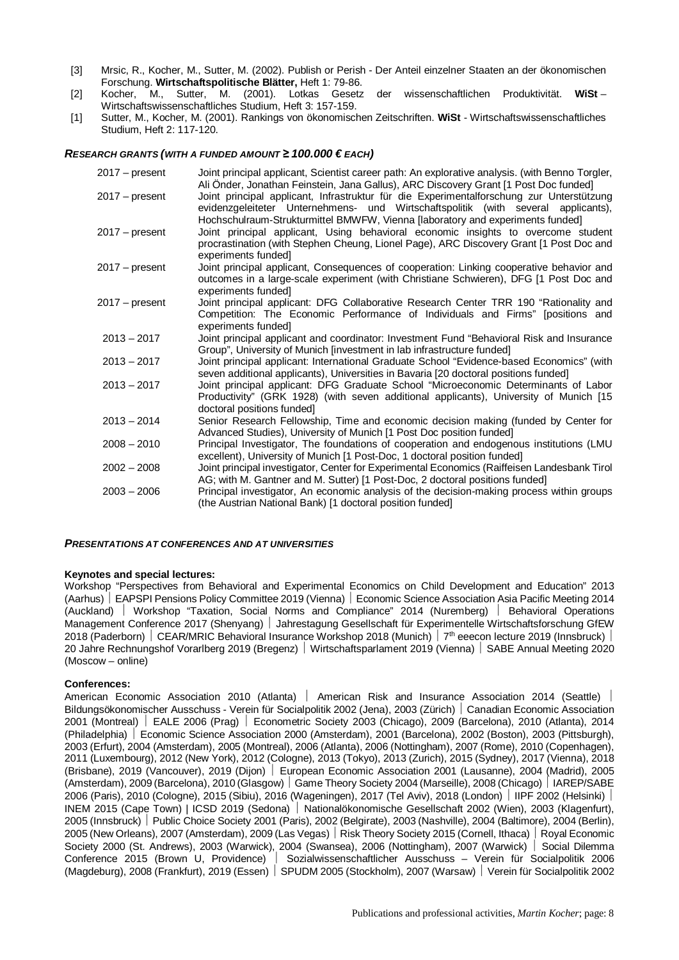- [3] Mrsic, R., Kocher, M., Sutter, M. (2002). Publish or Perish Der Anteil einzelner Staaten an der ökonomischen Forschung. **Wirtschaftspolitische Blätter,** Heft 1: 79-86.
- [2] Kocher, M., Sutter, M. (2001). Lotkas Gesetz der wissenschaftlichen Produktivität. **WiSt** Wirtschaftswissenschaftliches Studium, Heft 3: 157-159.
- [1] Sutter, M., Kocher, M. (2001). Rankings von ökonomischen Zeitschriften. **WiSt** Wirtschaftswissenschaftliches Studium, Heft 2: 117-120.

### *RESEARCH GRANTS (WITH A FUNDED AMOUNT ≥ 100.000 € EACH)*

| 2017 – present | Joint principal applicant, Scientist career path: An explorative analysis. (with Benno Torgler,<br>Ali Onder, Jonathan Feinstein, Jana Gallus), ARC Discovery Grant [1 Post Doc funded]                                                                         |
|----------------|-----------------------------------------------------------------------------------------------------------------------------------------------------------------------------------------------------------------------------------------------------------------|
| 2017 – present | Joint principal applicant, Infrastruktur für die Experimentalforschung zur Unterstützung<br>evidenzgeleiteter Unternehmens- und Wirtschaftspolitik (with several applicants),<br>Hochschulraum-Strukturmittel BMWFW, Vienna [laboratory and experiments funded] |
| 2017 – present | Joint principal applicant, Using behavioral economic insights to overcome student<br>procrastination (with Stephen Cheung, Lionel Page), ARC Discovery Grant [1 Post Doc and<br>experiments funded]                                                             |
| 2017 – present | Joint principal applicant, Consequences of cooperation: Linking cooperative behavior and<br>outcomes in a large-scale experiment (with Christiane Schwieren), DFG [1 Post Doc and<br>experiments funded]                                                        |
| 2017 - present | Joint principal applicant: DFG Collaborative Research Center TRR 190 "Rationality and<br>Competition: The Economic Performance of Individuals and Firms" [positions and<br>experiments funded                                                                   |
| $2013 - 2017$  | Joint principal applicant and coordinator: Investment Fund "Behavioral Risk and Insurance<br>Group", University of Munich [investment in lab infrastructure funded]                                                                                             |
| $2013 - 2017$  | Joint principal applicant: International Graduate School "Evidence-based Economics" (with<br>seven additional applicants), Universities in Bavaria [20 doctoral positions funded]                                                                               |
| $2013 - 2017$  | Joint principal applicant: DFG Graduate School "Microeconomic Determinants of Labor<br>Productivity" (GRK 1928) (with seven additional applicants), University of Munich [15<br>doctoral positions funded]                                                      |
| $2013 - 2014$  | Senior Research Fellowship, Time and economic decision making (funded by Center for<br>Advanced Studies), University of Munich [1 Post Doc position funded]                                                                                                     |
| $2008 - 2010$  | Principal Investigator, The foundations of cooperation and endogenous institutions (LMU<br>excellent), University of Munich [1 Post-Doc, 1 doctoral position funded]                                                                                            |
| $2002 - 2008$  | Joint principal investigator, Center for Experimental Economics (Raiffeisen Landesbank Tirol<br>AG; with M. Gantner and M. Sutter) [1 Post-Doc, 2 doctoral positions funded]                                                                                    |
| $2003 - 2006$  | Principal investigator, An economic analysis of the decision-making process within groups<br>(the Austrian National Bank) [1 doctoral position funded]                                                                                                          |

#### *PRESENTATIONS AT CONFERENCES AND AT UNIVERSITIES*

#### **Keynotes and special lectures:**

Workshop "Perspectives from Behavioral and Experimental Economics on Child Development and Education" 2013 (Aarhus) ½ EAPSPI Pensions Policy Committee 2019 (Vienna) ½ Economic Science Association Asia Pacific Meeting 2014 (Auckland) ½ Workshop "Taxation, Social Norms and Compliance" 2014 (Nuremberg) ½ Behavioral Operations Management Conference 2017 (Shenyang) | Jahrestagung Gesellschaft für Experimentelle Wirtschaftsforschung GfEW 2018 (Paderborn) | CEAR/MRIC Behavioral Insurance Workshop 2018 (Munich) | 7<sup>th</sup> eeecon lecture 2019 (Innsbruck) | 20 Jahre Rechnungshof Vorarlberg 2019 (Bregenz) ½ Wirtschaftsparlament 2019 (Vienna) ½ SABE Annual Meeting 2020 (Moscow – online)

#### **Conferences:**

American Economic Association 2010 (Atlanta) | American Risk and Insurance Association 2014 (Seattle) Bildungsökonomischer Ausschuss - Verein für Socialpolitik 2002 (Jena), 2003 (Zürich) | Canadian Economic Association 2001 (Montreal) ½ EALE 2006 (Prag) ½ Econometric Society 2003 (Chicago), 2009 (Barcelona), 2010 (Atlanta), 2014 (Philadelphia) ½ Economic Science Association 2000 (Amsterdam), 2001 (Barcelona), 2002 (Boston), 2003 (Pittsburgh), 2003 (Erfurt), 2004 (Amsterdam), 2005 (Montreal), 2006 (Atlanta), 2006 (Nottingham), 2007 (Rome), 2010 (Copenhagen), 2011 (Luxembourg), 2012 (New York), 2012 (Cologne), 2013 (Tokyo), 2013 (Zurich), 2015 (Sydney), 2017 (Vienna), 2018 (Brisbane), 2019 (Vancouver), 2019 (Dijon) ½ European Economic Association 2001 (Lausanne), 2004 (Madrid), 2005 (Amsterdam), 2009 (Barcelona), 2010 (Glasgow) Game Theory Society 2004 (Marseille), 2008 (Chicago) | IAREP/SABE 2006 (Paris), 2010 (Cologne), 2015 (Sibiu), 2016 (Wageningen), 2017 (Tel Aviv), 2018 (London) ½ IIPF 2002 (Helsinki) ½ INEM 2015 (Cape Town) | ICSD 2019 (Sedona) ½ Nationalökonomische Gesellschaft 2002 (Wien), 2003 (Klagenfurt), 2005 (Innsbruck) ½ Public Choice Society 2001 (Paris), 2002 (Belgirate), 2003 (Nashville), 2004 (Baltimore), 2004 (Berlin), 2005 (New Orleans), 2007 (Amsterdam), 2009 (Las Vegas) Risk Theory Society 2015 (Cornell, Ithaca) Royal Economic Society 2000 (St. Andrews), 2003 (Warwick), 2004 (Swansea), 2006 (Nottingham), 2007 (Warwick) | Social Dilemma Conference 2015 (Brown U, Providence) ½ Sozialwissenschaftlicher Ausschuss – Verein für Socialpolitik 2006 (Magdeburg), 2008 (Frankfurt), 2019 (Essen) ½ SPUDM 2005 (Stockholm), 2007 (Warsaw) ½ Verein für Socialpolitik 2002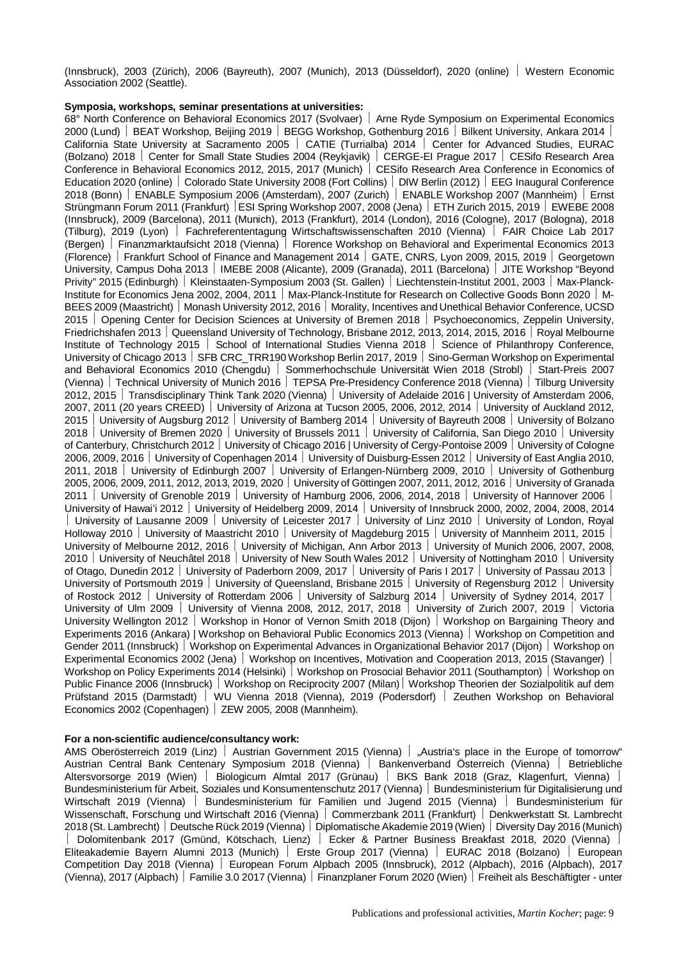(Innsbruck), 2003 (Zürich), 2006 (Bayreuth), 2007 (Munich), 2013 (Düsseldorf), 2020 (online) ½ Western Economic Association 2002 (Seattle).

## **Symposia, workshops, seminar presentations at universities:**

68° North Conference on Behavioral Economics 2017 (Svolvaer) | Arne Ryde Symposium on Experimental Economics 2000 (Lund) | BEAT Workshop, Beijing 2019 | BEGG Workshop, Gothenburg 2016 | Bilkent University, Ankara 2014 | California State University at Sacramento 2005 | CATIE (Turrialba) 2014 | Center for Advanced Studies, EURAC (Bolzano) 2018 ½ Center for Small State Studies 2004 (Reykjavik) ½ CERGE-EI Prague 2017 ½ CESifo Research Area Conference in Behavioral Economics 2012, 2015, 2017 (Munich) CESifo Research Area Conference in Economics of Education 2020 (online) ½ Colorado State University 2008 (Fort Collins) ½ DIW Berlin (2012) ½ EEG Inaugural Conference 2018 (Bonn) ½ ENABLE Symposium 2006 (Amsterdam), 2007 (Zurich) ½ ENABLE Workshop 2007 (Mannheim) ½ Ernst Strüngmann Forum 2011 (Frankfurt) ESI Spring Workshop 2007, 2008 (Jena) FETH Zurich 2015, 2019 EWEBE 2008 (Innsbruck), 2009 (Barcelona), 2011 (Munich), 2013 (Frankfurt), 2014 (London), 2016 (Cologne), 2017 (Bologna), 2018 (Tilburg), 2019 (Lyon) ½ Fachreferententagung Wirtschaftswissenschaften 2010 (Vienna) ½ FAIR Choice Lab 2017 (Bergen) ½ Finanzmarktaufsicht 2018 (Vienna) ½ Florence Workshop on Behavioral and Experimental Economics 2013 (Florence) ½ Frankfurt School of Finance and Management 2014 ½ GATE, CNRS, Lyon 2009, 2015, 2019 ½ Georgetown University, Campus Doha 2013 | IMEBE 2008 (Alicante), 2009 (Granada), 2011 (Barcelona) | JITE Workshop "Beyond Privity" 2015 (Edinburgh) | Kleinstaaten-Symposium 2003 (St. Gallen) | Liechtenstein-Institut 2001, 2003 | Max-Planck-Institute for Economics Jena 2002, 2004, 2011 | Max-Planck-Institute for Research on Collective Goods Bonn 2020 | M-BEES 2009 (Maastricht) | Monash University 2012, 2016 | Morality, Incentives and Unethical Behavior Conference, UCSD 2015 | Opening Center for Decision Sciences at University of Bremen 2018 | Psychoeconomics, Zeppelin University, Friedrichshafen 2013 | Queensland University of Technology, Brisbane 2012, 2013, 2014, 2015, 2016 | Royal Melbourne Institute of Technology 2015 | School of International Studies Vienna 2018 | Science of Philanthropy Conference, University of Chicago 2013 | SFB CRC\_TRR190 Workshop Berlin 2017, 2019 | Sino-German Workshop on Experimental and Behavioral Economics 2010 (Chengdu) ½ Sommerhochschule Universität Wien 2018 (Strobl) ½ Start-Preis 2007 (Vienna) ½ Technical University of Munich 2016 ½ TEPSA Pre-Presidency Conference 2018 (Vienna) ½ Tilburg University 2012, 2015 ½ Transdisciplinary Think Tank 2020 (Vienna) ½ University of Adelaide 2016 | University of Amsterdam 2006, 2007, 2011 (20 years CREED) University of Arizona at Tucson 2005, 2006, 2012, 2014 University of Auckland 2012, 2015 University of Augsburg 2012 | University of Bamberg 2014 | University of Bayreuth 2008 | University of Bolzano 2018 | University of Bremen 2020 | University of Brussels 2011 | University of California, San Diego 2010 | University of Canterbury, Christchurch 2012 | University of Chicago 2016 | University of Cergy-Pontoise 2009 | University of Cologne 2006, 2009, 2016 ½ University of Copenhagen 2014 ½ University of Duisburg-Essen 2012 ½ University of East Anglia 2010, 2011, 2018 Vuliversity of Edinburgh 2007 Vuliversity of Erlangen-Nürnberg 2009, 2010 Vuliversity of Gothenburg 2005, 2006, 2009, 2011, 2012, 2013, 2019, 2020 ½ University of Göttingen 2007, 2011, 2012, 2016 ½ University of Granada 2011 | University of Grenoble 2019 | University of Hamburg 2006, 2006, 2014, 2018 | University of Hannover 2006 | University of Hawai'i 2012 ½ University of Heidelberg 2009, 2014 ½ University of Innsbruck 2000, 2002, 2004, 2008, 2014 | University of Lausanne 2009 | University of Leicester 2017 | University of Linz 2010 | University of London, Royal Holloway 2010 | University of Maastricht 2010 | University of Magdeburg 2015 | University of Mannheim 2011, 2015 University of Melbourne 2012, 2016 | University of Michigan, Ann Arbor 2013 | University of Munich 2006, 2007, 2008, 2010 | University of Neuchâtel 2018 | University of New South Wales 2012 | University of Nottingham 2010 | University of Otago, Dunedin 2012 | University of Paderborn 2009, 2017 | University of Paris I 2017 | University of Passau 2013 | University of Portsmouth 2019 | University of Queensland, Brisbane 2015 | University of Regensburg 2012 | University of Rostock 2012 | University of Rotterdam 2006 | University of Salzburg 2014 | University of Sydney 2014, 2017 | University of Ulm 2009 | University of Vienna 2008, 2012, 2017, 2018 | University of Zurich 2007, 2019 | Victoria University Wellington 2012 | Workshop in Honor of Vernon Smith 2018 (Dijon) | Workshop on Bargaining Theory and Experiments 2016 (Ankara) | Workshop on Behavioral Public Economics 2013 (Vienna) | Workshop on Competition and Gender 2011 (Innsbruck) Vorkshop on Experimental Advances in Organizational Behavior 2017 (Dijon) Workshop on Experimental Economics 2002 (Jena) Vorkshop on Incentives, Motivation and Cooperation 2013, 2015 (Stavanger) | Workshop on Policy Experiments 2014 (Helsinki) Vorkshop on Prosocial Behavior 2011 (Southampton) Workshop on Public Finance 2006 (Innsbruck) | Workshop on Reciprocity 2007 (Milan) | Workshop Theorien der Sozialpolitik auf dem Prüfstand 2015 (Darmstadt) ½ WU Vienna 2018 (Vienna), 2019 (Podersdorf) ½ Zeuthen Workshop on Behavioral Economics 2002 (Copenhagen) | ZEW 2005, 2008 (Mannheim).

## **For a non-scientific audience/consultancy work:**

AMS Oberösterreich 2019 (Linz) | Austrian Government 2015 (Vienna) | "Austria's place in the Europe of tomorrow" Austrian Central Bank Centenary Symposium 2018 (Vienna) ½ Bankenverband Österreich (Vienna) ½ Betriebliche Altersvorsorge 2019 (Wien) ½ Biologicum Almtal 2017 (Grünau) ½ BKS Bank 2018 (Graz, Klagenfurt, Vienna) ½ Bundesministerium für Arbeit, Soziales und Konsumentenschutz 2017 (Vienna) ½ Bundesministerium für Digitalisierung und Wirtschaft 2019 (Vienna) | Bundesministerium für Familien und Jugend 2015 (Vienna) | Bundesministerium für Wissenschaft, Forschung und Wirtschaft 2016 (Vienna) | Commerzbank 2011 (Frankfurt) | Denkwerkstatt St. Lambrecht 2018 (St. Lambrecht) ½ Deutsche Rück 2019 (Vienna) ½ Diplomatische Akademie 2019 (Wien) ½ Diversity Day 2016 (Munich) Dolomitenbank 2017 (Gmünd, Kötschach, Lienz) | Ecker & Partner Business Breakfast 2018, 2020 (Vienna) Eliteakademie Bayern Alumni 2013 (Munich) | Erste Group 2017 (Vienna) | EURAC 2018 (Bolzano) | European Competition Day 2018 (Vienna) | European Forum Alpbach 2005 (Innsbruck), 2012 (Alpbach), 2016 (Alpbach), 2017 (Vienna), 2017 (Alpbach) ½ Familie 3.0 2017 (Vienna) ½ Finanzplaner Forum 2020 (Wien) ½ Freiheit als Beschäftigter - unter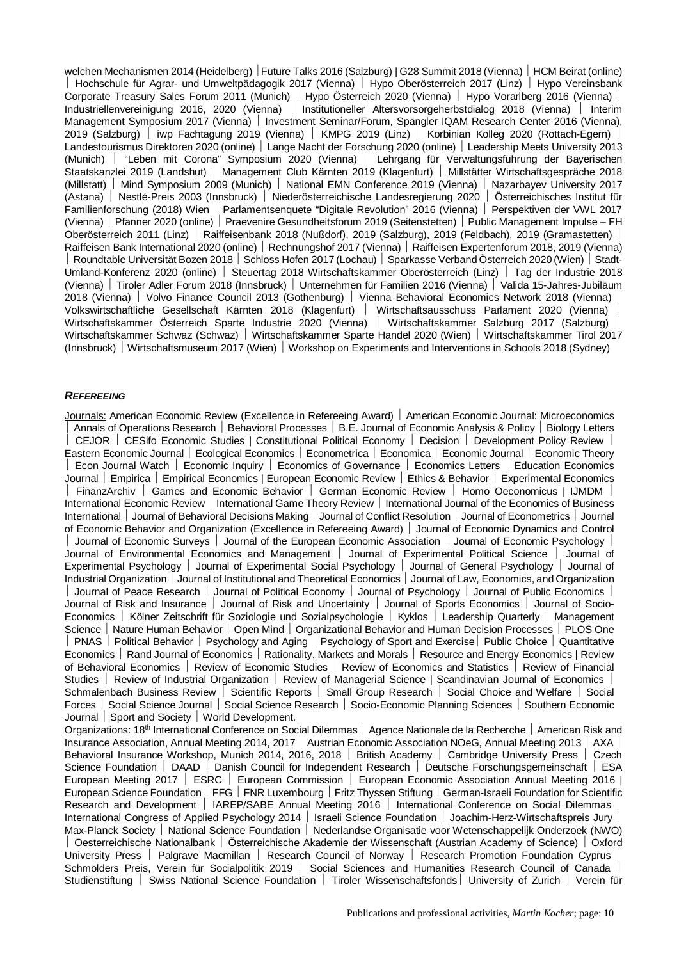welchen Mechanismen 2014 (Heidelberg) Future Talks 2016 (Salzburg) | G28 Summit 2018 (Vienna) | HCM Beirat (online) Hochschule für Agrar- und Umweltpädagogik 2017 (Vienna) | Hypo Oberösterreich 2017 (Linz) | Hypo Vereinsbank Corporate Treasury Sales Forum 2011 (Munich) | Hypo Österreich 2020 (Vienna) | Hypo Vorarlberg 2016 (Vienna) | Industriellenvereinigung 2016, 2020 (Vienna) | Institutioneller Altersvorsorgeherbstdialog 2018 (Vienna) | Interim Management Symposium 2017 (Vienna) | Investment Seminar/Forum, Spängler IQAM Research Center 2016 (Vienna), 2019 (Salzburg) ½ iwp Fachtagung 2019 (Vienna) ½ KMPG 2019 (Linz) ½ Korbinian Kolleg 2020 (Rottach-Egern) ½ Landestourismus Direktoren 2020 (online) | Lange Nacht der Forschung 2020 (online) | Leadership Meets University 2013 (Munich) ½ "Leben mit Corona" Symposium 2020 (Vienna) ½ Lehrgang für Verwaltungsführung der Bayerischen Staatskanzlei 2019 (Landshut) | Management Club Kärnten 2019 (Klagenfurt) | Millstätter Wirtschaftsgespräche 2018 (Millstatt) ½ Mind Symposium 2009 (Munich) ½ National EMN Conference 2019 (Vienna) ½ Nazarbayev University 2017 (Astana) ½ Nestlé-Preis 2003 (Innsbruck) ½ Niederösterreichische Landesregierung 2020 ½ Österreichisches Institut für Familienforschung (2018) Wien | Parlamentsenquete "Digitale Revolution" 2016 (Vienna) | Perspektiven der VWL 2017 (Vienna) ½ Pfanner 2020 (online) ½ Praevenire Gesundheitsforum 2019 (Seitenstetten) ½ Public Management Impulse – FH Oberösterreich 2011 (Linz) Raiffeisenbank 2018 (Nußdorf), 2019 (Salzburg), 2019 (Feldbach), 2019 (Gramastetten) Raiffeisen Bank International 2020 (online) Rechnungshof 2017 (Vienna) Raiffeisen Expertenforum 2018, 2019 (Vienna) Roundtable Universität Bozen 2018 | Schloss Hofen 2017 (Lochau) | Sparkasse Verband Österreich 2020 (Wien) | Stadt-Umland-Konferenz 2020 (online) | Steuertag 2018 Wirtschaftskammer Oberösterreich (Linz) | Tag der Industrie 2018 (Vienna) ½ Tiroler Adler Forum 2018 (Innsbruck) ½ Unternehmen für Familien 2016 (Vienna) ½ Valida 15-Jahres-Jubiläum 2018 (Vienna) ½ Volvo Finance Council 2013 (Gothenburg) ½ Vienna Behavioral Economics Network 2018 (Vienna) ½ Volkswirtschaftliche Gesellschaft Kärnten 2018 (Klagenfurt) ½ Wirtschaftsausschuss Parlament 2020 (Vienna) ½ Wirtschaftskammer Österreich Sparte Industrie 2020 (Vienna) | Wirtschaftskammer Salzburg 2017 (Salzburg) Wirtschaftskammer Schwaz (Schwaz) | Wirtschaftskammer Sparte Handel 2020 (Wien) | Wirtschaftskammer Tirol 2017 (Innsbruck) ½ Wirtschaftsmuseum 2017 (Wien) ½ Workshop on Experiments and Interventions in Schools 2018 (Sydney)

### *REFEREEING*

Journals: American Economic Review (Excellence in Refereeing Award) | American Economic Journal: Microeconomics Annals of Operations Research | Behavioral Processes | B.E. Journal of Economic Analysis & Policy | Biology Letters CEJOR | CESifo Economic Studies | Constitutional Political Economy | Decision | Development Policy Review | Eastern Economic Journal Ecological Economics | Econometrica | Economica | Economic Journal | Economic Theory Econ Journal Watch | Economic Inquiry | Economics of Governance | Economics Letters | Education Economics Journal | Empirica | Empirical Economics | European Economic Review | Ethics & Behavior | Experimental Economics FinanzArchiv | Games and Economic Behavior | German Economic Review | Homo Oeconomicus | IJMDM | International Economic Review | International Game Theory Review | International Journal of the Economics of Business International | Journal of Behavioral Decisions Making | Journal of Conflict Resolution | Journal of Econometrics | Journal of Economic Behavior and Organization (Excellence in Refereeing Award) ½ Journal of Economic Dynamics and Control Journal of Economic Surveys | Journal of the European Economic Association | Journal of Economic Psychology | Journal of Environmental Economics and Management | Journal of Experimental Political Science | Journal of Experimental Psychology | Journal of Experimental Social Psychology | Journal of General Psychology | Journal of Industrial Organization | Journal of Institutional and Theoretical Economics | Journal of Law, Economics, and Organization Journal of Peace Research | Journal of Political Economy | Journal of Psychology | Journal of Public Economics | Journal of Risk and Insurance | Journal of Risk and Uncertainty | Journal of Sports Economics | Journal of Socio-Economics | Kölner Zeitschrift für Soziologie und Sozialpsychologie | Kyklos | Leadership Quarterly | Management Science | Nature Human Behavior | Open Mind | Organizational Behavior and Human Decision Processes | PLOS One | PNAS | Political Behavior | Psychology and Aging | Psychology of Sport and Exercise | Public Choice | Quantitative Economics | Rand Journal of Economics | Rationality, Markets and Morals | Resource and Energy Economics | Review of Behavioral Economics | Review of Economic Studies | Review of Economics and Statistics | Review of Financial Studies | Review of Industrial Organization | Review of Managerial Science | Scandinavian Journal of Economics | Schmalenbach Business Review | Scientific Reports | Small Group Research | Social Choice and Welfare | Social Forces | Social Science Journal | Social Science Research | Socio-Economic Planning Sciences | Southern Economic Journal | Sport and Society | World Development. Organizations: 18<sup>th</sup> International Conference on Social Dilemmas | Agence Nationale de la Recherche | American Risk and Insurance Association, Annual Meeting 2014, 2017 | Austrian Economic Association NOeG, Annual Meeting 2013 | AXA | Behavioral Insurance Workshop, Munich 2014, 2016, 2018 | British Academy | Cambridge University Press | Czech Science Foundation | DAAD | Danish Council for Independent Research | Deutsche Forschungsgemeinschaft | ESA European Meeting 2017 | ESRC | European Commission | European Economic Association Annual Meeting 2016 | European Science Foundation | FFG | FNR Luxembourg | Fritz Thyssen Stiftung | German-Israeli Foundation for Scientific Research and Development | IAREP/SABE Annual Meeting 2016 | International Conference on Social Dilemmas International Congress of Applied Psychology 2014 | Israeli Science Foundation | Joachim-Herz-Wirtschaftspreis Jury Max-Planck Society | National Science Foundation | Nederlandse Organisatie voor Wetenschappelijk Onderzoek (NWO) ½ Oesterreichische Nationalbank ½ Österreichische Akademie der Wissenschaft (Austrian Academy of Science) ½ Oxford University Press | Palgrave Macmillan | Research Council of Norway | Research Promotion Foundation Cyprus

Schmölders Preis, Verein für Socialpolitik 2019 | Social Sciences and Humanities Research Council of Canada Studienstiftung | Swiss National Science Foundation | Tiroler Wissenschaftsfonds | University of Zurich | Verein für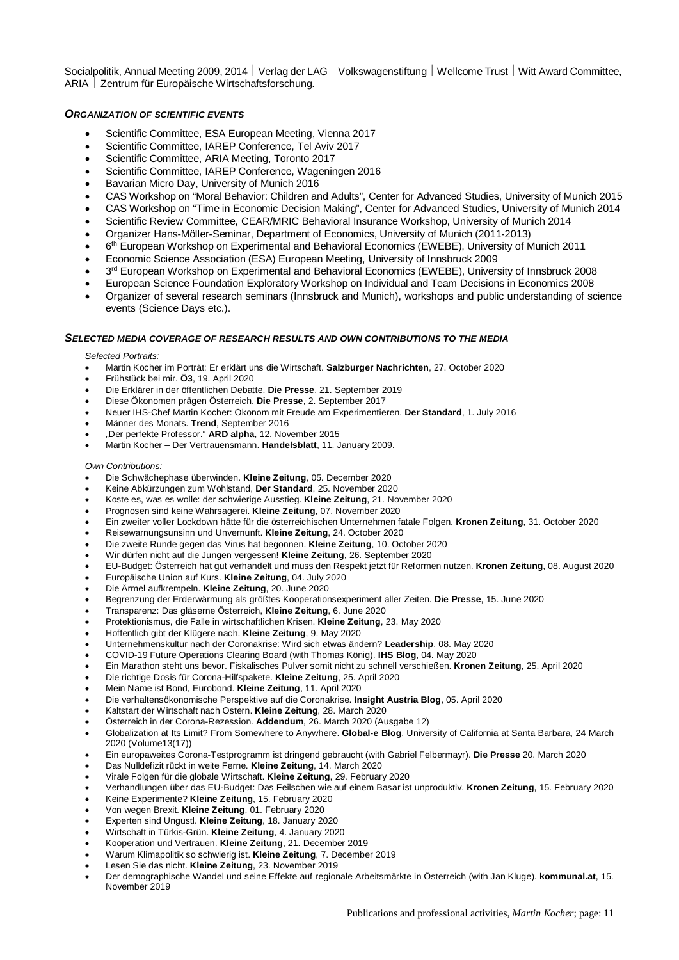Socialpolitik, Annual Meeting 2009, 2014 | Verlag der LAG | Volkswagenstiftung | Wellcome Trust | Witt Award Committee, ARIA | Zentrum für Europäische Wirtschaftsforschung.

## *ORGANIZATION OF SCIENTIFIC EVENTS*

- Scientific Committee, ESA European Meeting, Vienna 2017
- · Scientific Committee, IAREP Conference, Tel Aviv 2017
- · Scientific Committee, ARIA Meeting, Toronto 2017
- Scientific Committee, IAREP Conference, Wageningen 2016
- Bavarian Micro Day, University of Munich 2016
- · CAS Workshop on "Moral Behavior: Children and Adults", Center for Advanced Studies, University of Munich 2015
- · CAS Workshop on "Time in Economic Decision Making", Center for Advanced Studies, University of Munich 2014
- · Scientific Review Committee, CEAR/MRIC Behavioral Insurance Workshop, University of Munich 2014
- · Organizer Hans-Möller-Seminar, Department of Economics, University of Munich (2011-2013)
- · 6th European Workshop on Experimental and Behavioral Economics (EWEBE), University of Munich 2011
- · Economic Science Association (ESA) European Meeting, University of Innsbruck 2009
- 3<sup>rd</sup> European Workshop on Experimental and Behavioral Economics (EWEBE), University of Innsbruck 2008
- · European Science Foundation Exploratory Workshop on Individual and Team Decisions in Economics 2008
- · Organizer of several research seminars (Innsbruck and Munich), workshops and public understanding of science events (Science Days etc.).

#### *SELECTED MEDIA COVERAGE OF RESEARCH RESULTS AND OWN CONTRIBUTIONS TO THE MEDIA*

*Selected Portraits:*

- · Martin Kocher im Porträt: Er erklärt uns die Wirtschaft. **Salzburger Nachrichten**, 27. October 2020
- · Frühstück bei mir. **Ö3**, 19. April 2020
- · Die Erklärer in der öffentlichen Debatte. **Die Presse**, 21. September 2019
- · Diese Ökonomen prägen Österreich. **Die Presse**, 2. September 2017
- · Neuer IHS-Chef Martin Kocher: Ökonom mit Freude am Experimentieren. **Der Standard**, 1. July 2016
- · Männer des Monats. **Trend**, September 2016
- · "Der perfekte Professor." **ARD alpha**, 12. November 2015
- · Martin Kocher Der Vertrauensmann. **Handelsblatt**, 11. January 2009.

#### *Own Contributions:*

- · Die Schwächephase überwinden. **Kleine Zeitung**, 05. December 2020
- · Keine Abkürzungen zum Wohlstand, **Der Standard**, 25. November 2020
- · Koste es, was es wolle: der schwierige Ausstieg. **Kleine Zeitung**, 21. November 2020
- · Prognosen sind keine Wahrsagerei. **Kleine Zeitung**, 07. November 2020
- · Ein zweiter voller Lockdown hätte für die österreichischen Unternehmen fatale Folgen. **Kronen Zeitung**, 31. October 2020
- · Reisewarnungsunsinn und Unvernunft. **Kleine Zeitung**, 24. October 2020
- · Die zweite Runde gegen das Virus hat begonnen. **Kleine Zeitung**, 10. October 2020
- · Wir dürfen nicht auf die Jungen vergessen! **Kleine Zeitung**, 26. September 2020
- · EU-Budget: Österreich hat gut verhandelt und muss den Respekt jetzt für Reformen nutzen. **Kronen Zeitung**, 08. August 2020
- · Europäische Union auf Kurs. **Kleine Zeitung**, 04. July 2020
- · Die Ärmel aufkrempeln. **Kleine Zeitung**, 20. June 2020
- · Begrenzung der Erderwärmung als größtes Kooperationsexperiment aller Zeiten. **Die Presse**, 15. June 2020
- · Transparenz: Das gläserne Österreich, **Kleine Zeitung**, 6. June 2020
- · Protektionismus, die Falle in wirtschaftlichen Krisen. **Kleine Zeitung**, 23. May 2020
- · Hoffentlich gibt der Klügere nach. **Kleine Zeitung**, 9. May 2020
- · Unternehmenskultur nach der Coronakrise: Wird sich etwas ändern? **Leadership**, 08. May 2020
- · COVID-19 Future Operations Clearing Board (with Thomas König). **IHS Blog**, 04. May 2020
- · Ein Marathon steht uns bevor. Fiskalisches Pulver somit nicht zu schnell verschießen. **Kronen Zeitung**, 25. April 2020
- · Die richtige Dosis für Corona-Hilfspakete. **Kleine Zeitung**, 25. April 2020
- · Mein Name ist Bond, Eurobond. **Kleine Zeitung**, 11. April 2020
- · Die verhaltensökonomische Perspektive auf die Coronakrise. **Insight Austria Blog**, 05. April 2020
- · Kaltstart der Wirtschaft nach Ostern. **Kleine Zeitung**, 28. March 2020
- · Österreich in der Corona-Rezession. **Addendum**, 26. March 2020 (Ausgabe 12)
- · Globalization at Its Limit? From Somewhere to Anywhere. **Global-e Blog**, University of California at Santa Barbara, 24 March 2020 (Volume13(17))
- · Ein europaweites Corona-Testprogramm ist dringend gebraucht (with Gabriel Felbermayr). **Die Presse** 20. March 2020
- · Das Nulldefizit rückt in weite Ferne. **Kleine Zeitung**, 14. March 2020
- · Virale Folgen für die globale Wirtschaft. **Kleine Zeitung**, 29. February 2020
- · Verhandlungen über das EU-Budget: Das Feilschen wie auf einem Basar ist unproduktiv. **Kronen Zeitung**, 15. February 2020
- · Keine Experimente? **Kleine Zeitung**, 15. February 2020
- · Von wegen Brexit. **Kleine Zeitung**, 01. February 2020
- · Experten sind Ungustl. **Kleine Zeitung**, 18. January 2020
- · Wirtschaft in Türkis-Grün. **Kleine Zeitung**, 4. January 2020
- · Kooperation und Vertrauen. **Kleine Zeitung**, 21. December 2019
- · Warum Klimapolitik so schwierig ist. **Kleine Zeitung**, 7. December 2019
- · Lesen Sie das nicht. **Kleine Zeitung**, 23. November 2019
- · Der demographische Wandel und seine Effekte auf regionale Arbeitsmärkte in Österreich (with Jan Kluge). **kommunal.at**, 15. November 2019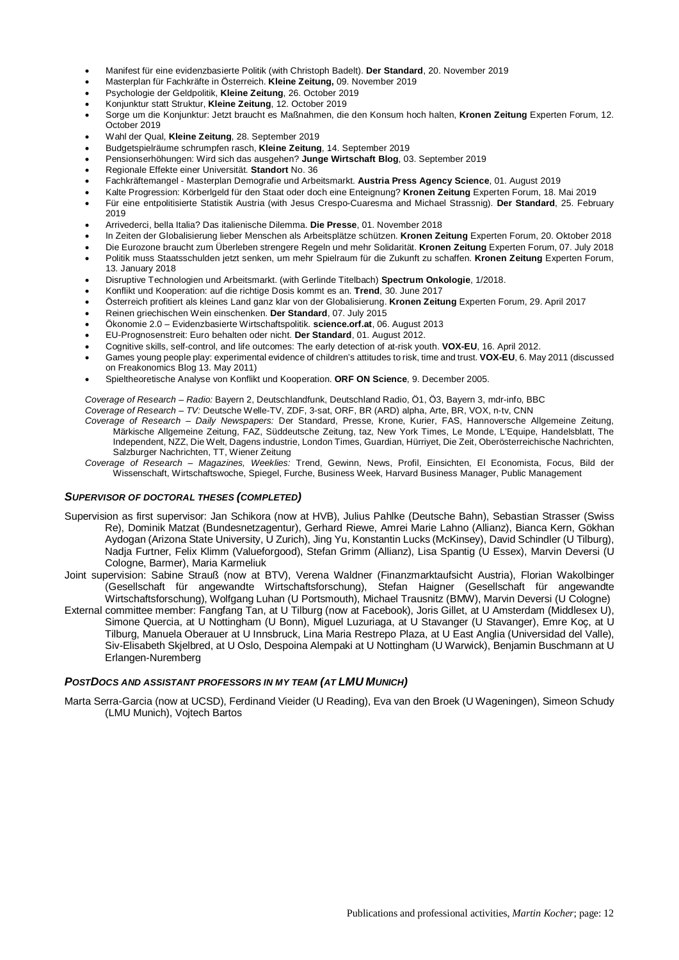- · Manifest für eine evidenzbasierte Politik (with Christoph Badelt). **Der Standard**, 20. November 2019
- · Masterplan für Fachkräfte in Österreich. **Kleine Zeitung,** 09. November 2019
- · Psychologie der Geldpolitik, **Kleine Zeitung**, 26. October 2019
- · Konjunktur statt Struktur, **Kleine Zeitung**, 12. October 2019
- · Sorge um die Konjunktur: Jetzt braucht es Maßnahmen, die den Konsum hoch halten, **Kronen Zeitung** Experten Forum, 12. October 2019
- · Wahl der Qual, **Kleine Zeitung**, 28. September 2019
- · Budgetspielräume schrumpfen rasch, **Kleine Zeitung**, 14. September 2019
- · Pensionserhöhungen: Wird sich das ausgehen? **Junge Wirtschaft Blog**, 03. September 2019
- · Regionale Effekte einer Universität. **Standort** No. 36
- · Fachkräftemangel Masterplan Demografie und Arbeitsmarkt. **Austria Press Agency Science**, 01. August 2019
- · Kalte Progression: Körberlgeld für den Staat oder doch eine Enteignung? **Kronen Zeitung** Experten Forum, 18. Mai 2019
- · Für eine entpolitisierte Statistik Austria (with Jesus Crespo-Cuaresma and Michael Strassnig). **Der Standard**, 25. February 2019
- · Arrivederci, bella Italia? Das italienische Dilemma. **Die Presse**, 01. November 2018
- · In Zeiten der Globalisierung lieber Menschen als Arbeitsplätze schützen. **Kronen Zeitung** Experten Forum, 20. Oktober 2018
- · Die Eurozone braucht zum Überleben strengere Regeln und mehr Solidarität. **Kronen Zeitung** Experten Forum, 07. July 2018 · Politik muss Staatsschulden jetzt senken, um mehr Spielraum für die Zukunft zu schaffen. **Kronen Zeitung** Experten Forum,
- 13. January 2018 · Disruptive Technologien und Arbeitsmarkt. (with Gerlinde Titelbach) **Spectrum Onkologie**, 1/2018.
- · Konflikt und Kooperation: auf die richtige Dosis kommt es an. **Trend**, 30. June 2017
- · Österreich profitiert als kleines Land ganz klar von der Globalisierung. **Kronen Zeitung** Experten Forum, 29. April 2017
- · Reinen griechischen Wein einschenken. **Der Standard**, 07. July 2015
- · Ökonomie 2.0 Evidenzbasierte Wirtschaftspolitik. **science.orf.at**, 06. August 2013
- · EU-Prognosenstreit: Euro behalten oder nicht. **Der Standard**, 01. August 2012.
- · Cognitive skills, self-control, and life outcomes: The early detection of at-risk youth. **VOX-EU**, 16. April 2012.
- · Games young people play: experimental evidence of children's attitudes to risk, time and trust. **VOX-EU**, 6. May 2011 (discussed on Freakonomics Blog 13. May 2011)
- · Spieltheoretische Analyse von Konflikt und Kooperation. **ORF ON Science**, 9. December 2005.

*Coverage of Research – Radio:* Bayern 2, Deutschlandfunk, Deutschland Radio, Ö1, Ö3, Bayern 3, mdr-info, BBC *Coverage of Research – TV:* Deutsche Welle-TV, ZDF, 3-sat, ORF, BR (ARD) alpha, Arte, BR, VOX, n-tv, CNN

- *Coverage of Research Daily Newspapers:* Der Standard, Presse, Krone, Kurier, FAS, Hannoversche Allgemeine Zeitung, Märkische Allgemeine Zeitung, FAZ, Süddeutsche Zeitung, taz, New York Times, Le Monde, L'Equipe, Handelsblatt, The Independent, NZZ, Die Welt, Dagens industrie, London Times, Guardian, Hürriyet, Die Zeit, Oberösterreichische Nachrichten, Salzburger Nachrichten, TT, Wiener Zeitung
- *Coverage of Research Magazines, Weeklies:* Trend, Gewinn, News, Profil, Einsichten, El Economista, Focus, Bild der Wissenschaft, Wirtschaftswoche, Spiegel, Furche, Business Week, Harvard Business Manager, Public Management

## *SUPERVISOR OF DOCTORAL THESES (COMPLETED)*

- Supervision as first supervisor: Jan Schikora (now at HVB), Julius Pahlke (Deutsche Bahn), Sebastian Strasser (Swiss Re), Dominik Matzat (Bundesnetzagentur), Gerhard Riewe, Amrei Marie Lahno (Allianz), Bianca Kern, Gökhan Aydogan (Arizona State University, U Zurich), Jing Yu, Konstantin Lucks (McKinsey), David Schindler (U Tilburg), Nadja Furtner, Felix Klimm (Valueforgood), Stefan Grimm (Allianz), Lisa Spantig (U Essex), Marvin Deversi (U Cologne, Barmer), Maria Karmeliuk
- Joint supervision: Sabine Strauß (now at BTV), Verena Waldner (Finanzmarktaufsicht Austria), Florian Wakolbinger (Gesellschaft für angewandte Wirtschaftsforschung), Stefan Haigner (Gesellschaft für angewandte Wirtschaftsforschung), Wolfgang Luhan (U Portsmouth), Michael Trausnitz (BMW), Marvin Deversi (U Cologne)
- External committee member: Fangfang Tan, at U Tilburg (now at Facebook), Joris Gillet, at U Amsterdam (Middlesex U), Simone Quercia, at U Nottingham (U Bonn), Miguel Luzuriaga, at U Stavanger (U Stavanger), Emre Koç, at U Tilburg, Manuela Oberauer at U Innsbruck, Lina Maria Restrepo Plaza, at U East Anglia (Universidad del Valle), Siv-Elisabeth Skjelbred, at U Oslo, Despoina Alempaki at U Nottingham (U Warwick), Benjamin Buschmann at U Erlangen-Nuremberg

#### *POSTDOCS AND ASSISTANT PROFESSORS IN MY TEAM (AT LMU MUNICH)*

Marta Serra-Garcia (now at UCSD), Ferdinand Vieider (U Reading), Eva van den Broek (U Wageningen), Simeon Schudy (LMU Munich), Vojtech Bartos